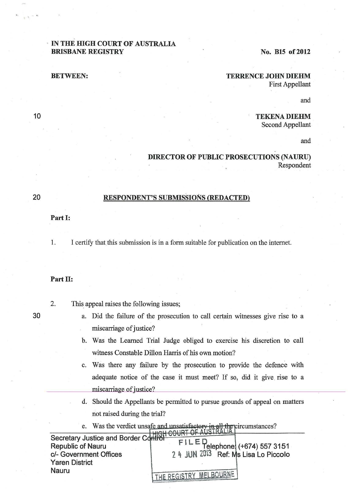## IN THE HIGH COURT OF AUSTRALIA **BRISBANE REGISTRY** No. B15 of 2012

# **BETWEEN:** TERRENCE JOHN DIEHM

First Appellant

and

## **TEKENA DIEHM**

Second Appellant

and

### **DIRECTOR OF PUBLIC PROSECUTIONS (NAURU)**  Respondent

#### **RESPONDENT'S SUBMISSIONS (REDACTED)**

### **Part 1:**

1. I certify that this submission is in a form suitable for publication on the internet.

#### **Part II:**

30

- 2. This appeal raises the following issues;
	- a. Did the failure of the prosecution to call certain witnesses give rise to a miscarriage of justice?
	- b. Was the Learned Trial Judge obliged to exercise his discretion to call witness Constable Dillon Harris of his own motion?
	- c. Was there any failure by the prosecution to provide the defence with adequate notice of the case it must meet? If so, did it give rise to a miscarriage of justice?
	- d. Should the Appellants be permitted to pursue grounds of appeal on matters not raised during the trial?
	- e. Was the verdict unsafe and unsatisfactory in all the circumstances?

| Secretary Justice and Border Control |
|--------------------------------------|
| $FILED$ elephone (+674) 557 3151     |
| 2 4 JUN 2013 Ref: Ms Lisa Lo Piccolo |
|                                      |
|                                      |
| THE REGISTRY MELBOURNE               |
|                                      |

10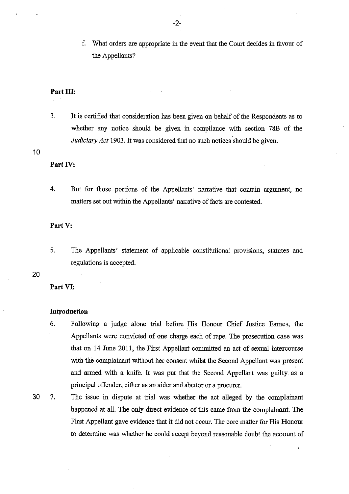f. What orders are appropriate in the event that the Court decides in favour of the Appellants?

#### Part III:

3. It is certified that consideration has been given on behalf of the Respondents as to whether any notice should be given in compliance with section 78B of the *Judiciary Act* 1903. It was considered that no such notices should be given.

#### 10

#### **Part** IV:

4. But for those portions of the Appellants' narrative that contain argument, no matters set out within the Appellants' narrative of facts are contested.

#### **PartY:**

5. The Appellants' statement of applicable constitutional provisions, statutes and regulations is accepted.

#### 20

#### **Part VI:**

#### **Introduction**

- 6. Following a judge alone trial before His Honour Chief Justice Eames, the Appellants were convicted of one charge each of rape. The prosecution case was that on 14 June 2011, the First Appellant committed an act of sexual intercourse with the complainant without her consent whilst the Second Appellant was present and armed with a knife. It was put that the Second Appellant was guilty. as a principal offender, either as an aider and abettor or a procurer.
- 

30 7. The issue in dispute at trial was whether the act alleged by the complainant happened at all. The only direct evidence of this came from the complainant. The First Appellant gave evidence that it did not occur. The core matter for His Honour to determine was whether he could accept beyond reasonable doubt the account of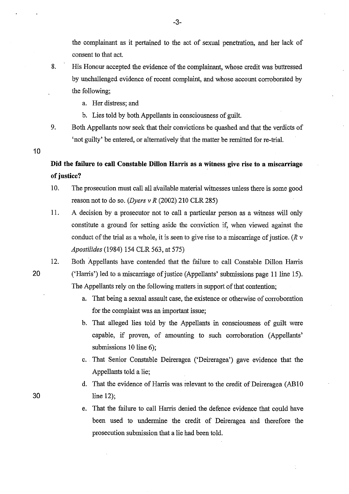the complainant as it pertained to the act of sexual penetration, and her lack of consent to that act.

- 8. His Honour accepted the evidence of the complainant, whose credit was buttressed by unchallenged evidence of recent complaint, and whose account corroborated by the following;
	- a. Her distress; and
	- b. Lies told by both Appellants in consciousness of guilt.
- 9. Both Appellants now seek that their convictions be quashed and that the verdicts of 'not guilty' be entered, or alternatively that the matter be remitted for re-trial.

10

20

30

**Did the failure to call Constable Dillon Harris as a witness give rise to a miscarriage of justice?** 

- 10. The prosecution must call all available material witnesses unless there is some good reason not to do so. *(Dyers v R* (2002) 210 CLR 285)
- 11. A decision by a prosecutor not to call a particular person as a witness will only constitute a ground for setting aside the conviction if, when viewed against the conduct of the trial as a whole, it is seen to give rise to a miscarriage of justice. (R *v Apostilides* (1984) 154 CLR 563, at 575)
- 12. Both Appellants have contended that the failure to call Constable Dillon Harris ('Harris') led to a miscarriage of justice (Appellants' submissions page 11 line 15). The Appellants rely on the following matters in support of that contention;
	- a. That being a sexual assault case, the existence or otherwise of corroboration for the complaint was an important issue;
	- b. That alleged lies told by the Appellants in consciousness of guilt were capable, if proven, of amounting to such corroboration (Appellants' submissions 10 line 6);
	- c. That Senior Constable Deireragea ('Deireragea') gave evidence that the Appellants told a lie;
	- d. That the evidence of Harris was relevant to the credit of Deireragea (AB10 line 12);
	- e. That the failure to call Harris denied the defence evidence that could have been used to undermine the credit of Deireragea and therefore the prosecution submission that a lie had been told.

-3-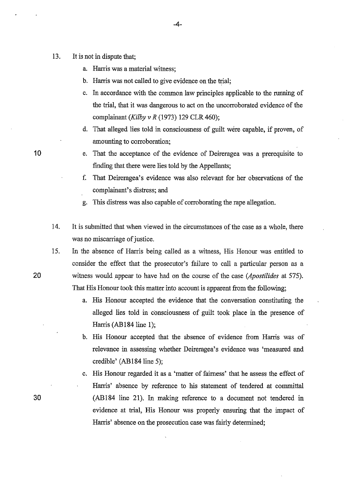- 13. It is not in dispute that;
	- a. Harris was a material witness;
	- b. Harris was not called to give evidence on the trial;
	- c. In accordance with the common law principles appllcable to the running of the trial, that it was dangerous to act on the uncorroborated evidence of the complainant *(Kilby v R* (1973) 129 CLR 460);
	- d. That alleged lies told in consciousness of guilt were capable, if proven, of amounting to corroboration;
	- e. That the acceptance of the evidence of Deireragea was a prerequisite to finding that there were lies told by the Appellants;
	- f. That Deireragea's evidence was also relevant for her observations of the complainant's distress; and
	- g. This distress was also capable of corroborating the rape allegation.
- 14. It is submitted that when viewed in the circumstances of the case as a whole, there was no miscarriage of justice.
- 15. In the absence of Harris being called as a witness, His Honour was entitled to consider the effect that the prosecutor's failure to call a particular person as a witness would appear to have had on the course of the case *(Apostilides* at 575). That His Honour took this matter into account is apparent from the following;
	- a. His Honour accepted the evidence that the conversation constituting the alleged lies told in consciousness of guilt took place in the presence of Harris (AB184 line 1);
	- b. His Honour accepted that the absence of evidence from Harris was of relevance in assessing whether Deireragea's evidence was 'measured and credible' (AB184 line 5);
	- c. His Honour regarded it as a 'matter of fairness' that he assess the effect of Harris' absence by reference to his statement of tendered at committal (AB184 line 21). In making reference to a document not tendered in evidence at trial, His Honour was properly ensuring that the impact of Harris' absence on the prosecution case was fairly determined;

20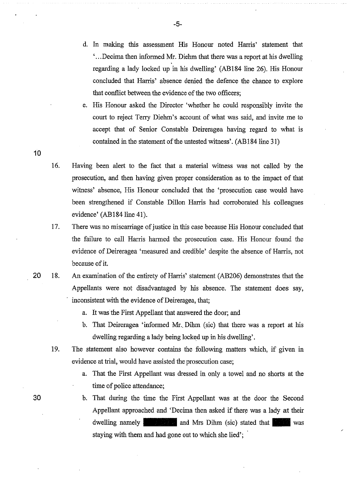- d. In making this assessment His Honour noted Harris' statement that ' ... Decima then informed Mr. Diehm that there was a report at his dwelling regarding a lady locked up in his dwelling' (AB184 line 26). His Honour concluded that Harris' absence denied the defence the chance to explore that conflict between the evidence of the two officers;
- e. His Honour asked the Director 'whether he could responsibly invite the court to reject Terry Diehm's account of what was said, and invite me to accept that of Senior Constable Deireragea having regard to what is contained in the statement of the untested witness'. (AB184 line 31)
- 16. Having been alert to the fact that a material witness was not called by the prosecution, and then having given proper consideration as to the impact of that witness' absence, His Honour concluded that the 'prosecution case would have been strengthened if Constable Dillon Harris had corroborated his colleagues evidence' (AB184 line 41).
- 17. There was no miscarriage of justice in this case because His Honour concluded that the failure to call Harris harmed the prosecution case. His Honour found the evidence of Deireragea 'measured and credible' despite the absence of Harris, not because of it.
- 20 18. An examination of the entirety of Harris' statement (AB206) demonstrates that the Appellants were not disadvantaged by his absence. The statement does say, inconsistent with the evidence of Deireragea, that;
	- a. It was the First Appellant that answered the door; and
	- b. That Deireragea 'informed Mr. Dihm (sic) that there was a report at his dwelling regarding a lady being locked up in his dwelling'.
	- 19. The statement also however contains the following matters which, if given in evidence at trial, would have assisted the prosecution case;
		- a. That the First Appellant was dressed in only a towel and no shorts at the time of police attendance;
		- b. That during the time the First Appellant was at the door the Second Appellant approached and 'Decima then asked if there was a lady at their dwelling namely<br>and Mrs Dihm (sic) stated that staying with them and had gone out to which she lied';

10

-5-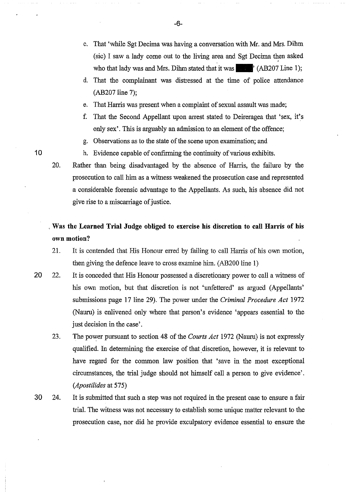- c. That 'while Sgt Decima was having a conversation with Mr. and Mrs. Dihm  $(sic)$  I saw a lady come out to the living area and Sgt Decima then asked who that lady was and Mrs. Dihm stated that it was  $\blacksquare$  (AB207 Line 1);
- d. That the complainant was distressed at the time of police attendance (AB207 line 7);
- e. That Harris was present when a complaint of sexual assault was made;
- f. That the Second Appellant upon arrest stated to Deireragea that 'sex, it's only sex'. This is arguably an admission to an element of the offence;
- g. Observations as to the state of the scene upon examination; and
- h. Evidence capable of confirming the continuity of various exhibits.
- 20. Rather than being disadvantaged by the absence of Harris, the failure by the prosecution to call him as a witness weakened the prosecution case and represented a considerable forensic advantage to the Appellants. As such, his absence did not give rise to a miscarriage of justice.

# , **Was the Learned Trial Judge obliged to exercise his discretion to call Harris of his own motion?**

- 21. It is contended that His Honour erred by failing to call Harris of his own motion, then giving the defence leave to cross examine him. (AB200 line 1)
- 20 22. It is conceded that His Honour possessed a discretionary power to call a witness of his own motion, but that discretion is not 'unfettered' as argued (Appellants' submissions page 17 line 29). The power under the *Criminal Procedure Act* 1972 (Nauru) is enlivened only where that person's evidence 'appears essential to the just decision in the case'.
	- 23. The power pursuant to section 48 of the *Courts Act* 1972 (Nauru) is not expressly qualified. In determining the exercise of that discretion, however, it is relevant to have regard for the common law position that 'save in the most exceptional circumstances, the trial judge should not himself call a person to give evidence'. *(Apostilides* at 575)
- 30 24. It is submitted that such a step was not required in the present case to ensure a fair trial. The witness was not necessary to establish some unique matter relevant to the prosecution case, nor did he provide exculpatory evidence essential to ensure the

-6-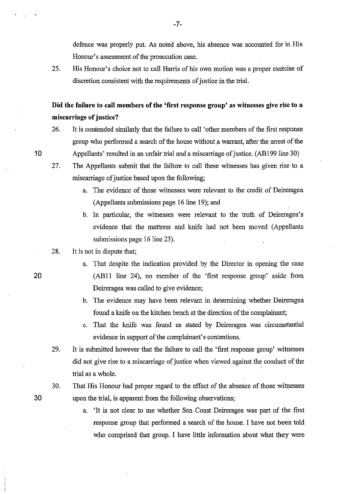defence was properly put. As noted above, his absence was accounted for in His Honour's assessment of the prosecution case.

25. His Honour's choice not to call Harris of his own motion was a proper exercise of discretion consistent with the requirements of justice in the trial.

**Did the failure to call members of the 'first response group' as witnesses give rise to a miscarriage of justice?** 

- 26. It is contended similarly that the failure to call 'other members of the first response group who performed a search of the house without a warrant, after the arrest of the Appellants' resulted in an unfair trial and a miscarriage of justice. (AB199 line 30)
- 27. The Appellants submit that the failure to call these witnesses has given rise to a miscarriage of justice based upon the following;
	- a. The evidence of those witnesses were relevant to the credit of Deireragea (Appellants submissions page 16 line 19); and
	- b. In particular, the witnesses were relevant to the truth of Deireragea's evidence that the mattress and knife had not been moved (Appellants submissions page 16 line 23).
- 28. It is not in dispute that;
	- a. That despite the indication provided by the Director in opening the case (ABll line 24), no member of the 'first response group' aside from Deireragea was called to give evidence;
	- b. The evidence may have been relevant in determining whether Deireragea found a knife on the kitchen bench at the direction of the complainant;
	- c. That the knife was found as stated by Deireragea was circumstantial evidence in support of the complainant's contentions.
- 29. It is submitted however that the failure to call the 'first response group' witnesses did not give rise to a miscarriage of justice when viewed against the conduct of the trial as a whole.
- 30. That His Honour had proper regard to the effect of the absence of those witnesses upon the trial, is apparent from the following observations;
	- a. 'It is not clear to me whether Sen Const Deireragea was part of the first response group that performed a search of the house. I have not been told who comprised that group. I have little information about what they were

20

10

30

-7-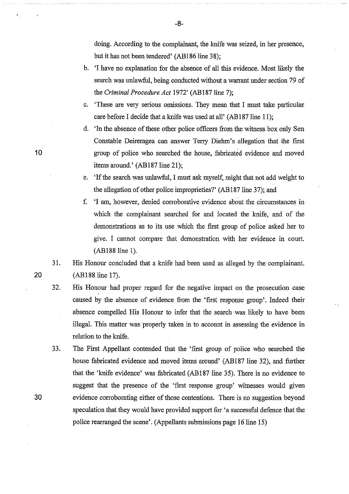doing. According to the complainant, the knife was seized, in her presence, but it has not been tendered' (AB186 line 38);

- b. 'I have no explanation for the absence of all this evidence. Most likely the search was unlawful, being conducted without a warrant under section 79 of the *Criminal Procedure Act* 1972' (AB187 line 7);
- c. 'These are very serious omissions. They mean that I must take particular care before I decide that a knife was used at all' (AB187 line 11);
- d. 'In the absence of these other police officers from the witness box only Sen Constable Deireragea can answer Terry Diehm's allegation that the first group of police who searched the house, fabricated evidence and moved items around.' (AB187line 21);
- e. 'If the search was unlawful, I must ask myself, might that not add weight to the allegation of other police improprieties?' (AB187 line 37); and
- f. 'I am, however, denied corroborative evidence about the circumstances in which the complainant searched for and located the knife, and of the demonstrations as to its use which the first group of police asked her to give. I cannot compare that demonstration with her evidence in court. (AB188line 1).
- 31. His Honour concluded that a knife had been used as alleged by the complainant. (AB188 line 17).
- 32. His Honour had proper regard for the negative impact on the prosecution case caused by the absence of evidence from the 'first response group'. Indeed their absence compelled His Honour to infer that the search was likely to have been illegal. This matter was properly taken in to account in assessing the evidence in relation to the knife.
- 33. The First Appellant contended that the 'first group of police who searched the house fabricated evidence and moved items around' (AB187 line 32), and further that the 'knife evidence' was fabricated (AB187 line 35). There is no evidence to suggest that the presence of the 'first response group' witnesses would given 30 evidence corroborating either of those contentions. There is no suggestion beyond speculation that they would have provided support for 'a successful defence that the police rearranged the scene'. (Appellants submissions page 16 line 15)

20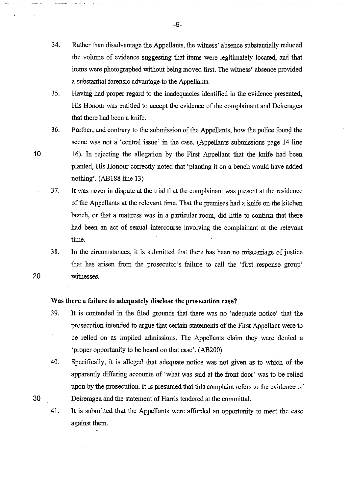34. Rather than disadvantage the Appellants, the witness' absence substantially reduced the volume of evidence suggesting that items were legitimately located, and that items were photographed without being moved first. The witness' absence provided a substantial forensic advantage to the Appellants.

-9-

- 35. Having had proper regard to the inadequacies identified in the evidence presented, His Honour was entitled to accept the evidence of the complainant and Deireragea that there had been a knife.
- 36. Further, and contrary to the submission of the Appellants, how the police found the scene was not a 'central issue' in the case. (Appellants submissions page 14 line 16). In rejecting the allegation by the First Appellant that the knife had been planted, His Honour correctly noted that 'planting it on a bench would have added nothing'. (AB188line 13)
- 3 7. It was never in dispute at the trial that the complainant was present at the residence of the Appellants at the relevant time. That the premises had a knife on the kitchen bench, or that a mattress was in a particular room, did little to confirm that there had been an act of sexual intercourse involving the complainant at the relevant time.
- 38. In the circumstances, it is submitted that there has been no miscarriage of justice that has arisen from the prosecutor's failure to call the 'first response group' 20 witnesses.

#### **Was there a failure to adequately disclose the prosecution case?**

- 3 9. It is contended in the filed grounds that there was no 'adequate notice' that the prosecution intended to argue that certain statements of the First Appellant were to be relied on as implied admissions. The Appellants claim they were denied a 'proper opportunity to be heard on that case'. (AB200)
- 40. Specifically, it is alleged that adequate notice was not given as to which of the apparently differing accounts of 'what was said at the front door' was to be relied upon by the prosecution. It is presumed that this complaint refers to the evidence of Deireragea and the statement of Harris tendered at the committal.

41. It is submitted that the Appellants were afforded an opportunity to meet the case against them.

10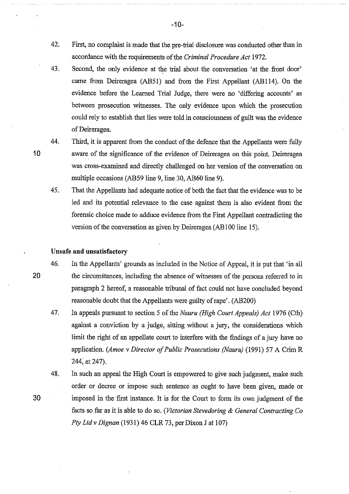- 42. First, no complaint is made that the pre-trial disclosure was conducted other than in accordance with the requirements of the *Criminal Procedure Act* 1972.
- 43. Second, the only evidence at the trial about the conversation 'at the front door' came from Deireragea (AB51) and from the First Appellant (AB114). On the evidence before the Learned Trial Judge, there were no 'differing accounts' as between prosecution witnesses. The only evidence upon which the prosecution could rely to establish that lies were told in consciousness of guilt was the evidence of Deireragea.
- 44. Third, it is apparent from the conduct of the defence that the Appellants were fully aware of the significance of the evidence of Deireragea on this point. Deireragea was cross-examined and directly challenged on her version of the conversation on multiple occasions (AB59 line 9, line 30, AB60 line 9).
- 45. That the Appellants had adequate notice of both the fact that the evidence was to be led and its potential relevance to the case against them is also evident from the forensic choice made to adduce evidence from the First Appellant contradicting the version of the conversation as given by Deireragea (AB100 line 15).

### **Unsafe and unsatisfactory**

- 46. In the Appellants' grounds as included in the Notice of Appeal, it is put that 'in all the circumstances, including the absence of witnesses of the persons referred to in paragraph 2 hereof, a reasonable tribunal of fact could not have concluded beyond reasonable doubt that the Appellants were guilty of rape'. (AB200)
	- 47. In appeals pursuant to section 5 of the *Nauru (High Court Appeals) Act* 1976 (Cth) against a conviction by a judge, sitting without a jury, the considerations which limit the right of an appellate court to interfere with the findings of a jury have no application. *(Amoe v Director of Public Prosecutions (Nauru)* (1991) 57 A Crim R 244; at 247).
	- 48. In such an appeal the High Court is empowered to give such judgment, make such order or decree or impose such sentence as ought to have been given, made or imposed in the first instance. It is for the Court to form its own judgment of the facts so far as it is able to do so. *(Victorian Stevedoring* & *General Contracting Co Pty Ltd v Dignan* (1931) 46 CLR 73, per Dixon J at 107)

-10-

10

20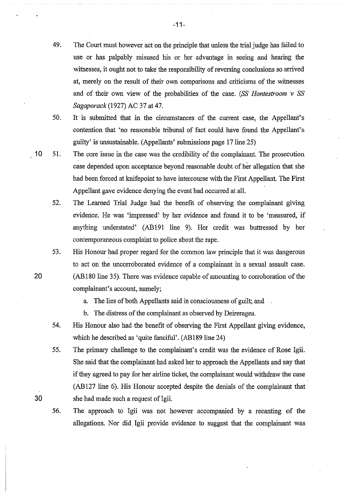- 49. The Court must however act on the principle that unless the trial judge has failed to use or has palpably misused his or her advantage in seeing and hearing the witnesses, it ought not to take the responsibility of reversing conclusions so arrived at, merely on the result of their own comparisons and criticisms of the witnesses and of their own view of the probabilities of the case. (SS *Hontestroom v SS Sagaporack* (1927) AC 37 at 47.
- 50. It is submitted that in the circumstances of the current case, the Appellant's contention that 'no reasonable tribunal of fact could have found the Appellant's guilty' is unsustainable. (Appellants' submissions page 17line 25)
- 10 51. The core issue in the case was the credibility of the complainant. The prosecution case depended upon acceptance beyond reasonable doubt of her allegation that she had been forced at knifepoint to have intercourse with the First Appellant. The First Appellant gave evidence denying the event had occurred at all.
	- 52. The Learned Trial Judge had the benefit of observing the complainant giving evidence. He was 'impressed' by her evidence and found it to be 'measured, if anything understated' (AB191 line 9). Her credit was buttressed by her contemporaneous complaint to police about the rape.
	- 53. His Honour had proper regard for the common law principle that it was dangerous to act on the uncorroborated evidence of a complainant in a sexual assault case. (AB180 line 35). There was evidence capable of amounting to corroboration of the complainant's account, namely;
		- a. The lies of both Appellants said in consciousness of guilt; and
		- b. The distress of the complainant as observed by Deireragea.
	- 54. His Honour also had the benefit of observing the First Appellant giving evidence, which he described as 'quite fanciful'. (AB189 line 24)
	- 55. The primary challenge to the complainant's credit was the evidence of Rose lgii. She said that the complainant had asked her to approach the Appellants and say that if they agreed to pay for her airline ticket, the complainant would withdraw the case (AB 127 line 6). His Honour accepted despite the denials of the complainant that she had made such a request of Igii.
	- 56. The approach to lgii was not however accompanied by a recanting of the allegations. Nor did lgii provide evidence to suggest that the complainant was

20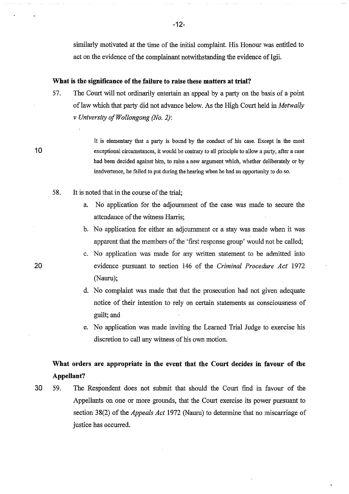similarly motivated at the time of the initial complaint. His Honour was entitled to act on the evidence of the complainant notwithstanding the evidence of Igii.

#### **What is the significance of the failure to raise these matters at trial?**

57. The Court will not ordinarily entertain an appeal by a party on the basis of a point of law which that party did not advaoce below. As the High Court held in *Metwally v University ofWollongong (No. 2):* 

> It is elementary that a party is bonnd by the conduct of his case. Except in the most exceptional circumstances, it would be contrary to all principle to allow a party, after a case had been decided against him, to raise a new argument which, whether deliberately or by inadvertence, he failed to put during the hearing when he had an opportunity to do so.

- 58. It is noted that in the course of the trial;
	- a. No application for the adjournment of the case was made to secure the attendance of the witness Harris;
	- b. No application for either an adjournment or a stay was made when it was apparent that the members of the 'first response group' would not be called;
	- c. No application was made for any written statement to be admitted into evidence pursuant to section 146 of the *Criminal Procedure Act* 1972 (Nauru);
	- d. No complaint was made that that the prosecution had not given adequate notice of their intention to rely on certain statements as consciousness of guilt; and
	- e. No application was made inviting the Learned Trial Judge to exercise his discretion to call any witness of his own motion.

# **What orders are appropriate in the event that the Court decides in favour of the Appellant?**

30 59. The Respondent does not submit that should the Court fmd in favour of the Appellants on one or more grounds, that the Court exercise its power pursuant to section 38(2) of the *Appeals Act* 1972 (Nauru) to determine that no miscarriage of justice has occurred.

20

**10** 

-12-